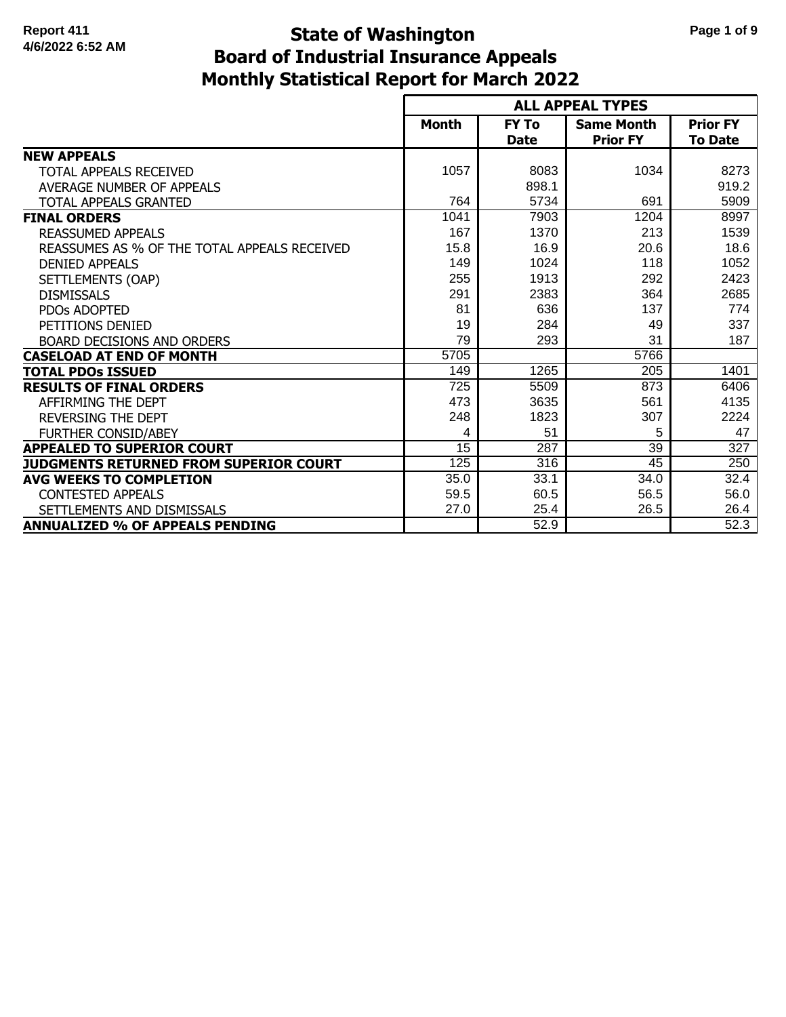# **Monthly Statistical Report for March 2022 State of Washington Page 1 of 9 Board of Industrial Insurance Appeals**

|                                              |                  |                             | <b>ALL APPEAL TYPES</b>              |                                   |
|----------------------------------------------|------------------|-----------------------------|--------------------------------------|-----------------------------------|
|                                              | <b>Month</b>     | <b>FY To</b><br><b>Date</b> | <b>Same Month</b><br><b>Prior FY</b> | <b>Prior FY</b><br><b>To Date</b> |
| <b>NEW APPEALS</b>                           |                  |                             |                                      |                                   |
| TOTAL APPEALS RECEIVED                       | 1057             | 8083                        | 1034                                 | 8273                              |
| AVERAGE NUMBER OF APPEALS                    |                  | 898.1                       |                                      | 919.2                             |
| <b>TOTAL APPEALS GRANTED</b>                 | 764              | 5734                        | 691                                  | 5909                              |
| <b>FINAL ORDERS</b>                          | 1041             | 7903                        | 1204                                 | 8997                              |
| <b>REASSUMED APPEALS</b>                     | 167              | 1370                        | 213                                  | 1539                              |
| REASSUMES AS % OF THE TOTAL APPEALS RECEIVED | 15.8             | 16.9                        | 20.6                                 | 18.6                              |
| <b>DENIED APPEALS</b>                        | 149              | 1024                        | 118                                  | 1052                              |
| SETTLEMENTS (OAP)                            | 255              | 1913                        | 292                                  | 2423                              |
| <b>DISMISSALS</b>                            | 291              | 2383                        | 364                                  | 2685                              |
| <b>PDOs ADOPTED</b>                          | 81               | 636                         | 137                                  | 774                               |
| PETITIONS DENIED                             | 19               | 284                         | 49                                   | 337                               |
| <b>BOARD DECISIONS AND ORDERS</b>            | 79               | 293                         | 31                                   | 187                               |
| <b>CASELOAD AT END OF MONTH</b>              | 5705             |                             | 5766                                 |                                   |
| <b>TOTAL PDOS ISSUED</b>                     | 149              | 1265                        | 205                                  | 1401                              |
| <b>RESULTS OF FINAL ORDERS</b>               | $\overline{725}$ | 5509                        | 873                                  | 6406                              |
| AFFIRMING THE DEPT                           | 473              | 3635                        | 561                                  | 4135                              |
| <b>REVERSING THE DEPT</b>                    | 248              | 1823                        | 307                                  | 2224                              |
| <b>FURTHER CONSID/ABEY</b>                   | 4                | 51                          | 5                                    | 47                                |
| <b>APPEALED TO SUPERIOR COURT</b>            | $\overline{15}$  | 287                         | $\overline{39}$                      | $\overline{327}$                  |
| JUDGMENTS RETURNED FROM SUPERIOR COURT       | 125              | $\overline{316}$            | 45                                   | 250                               |
| AVG WEEKS TO COMPLETION                      | 35.0             | 33.1                        | 34.0                                 | 32.4                              |
| <b>CONTESTED APPEALS</b>                     | 59.5             | 60.5                        | 56.5                                 | 56.0                              |
| SETTLEMENTS AND DISMISSALS                   | 27.0             | 25.4                        | 26.5                                 | 26.4                              |
| <b>ANNUALIZED % OF APPEALS PENDING</b>       |                  | 52.9                        |                                      | 52.3                              |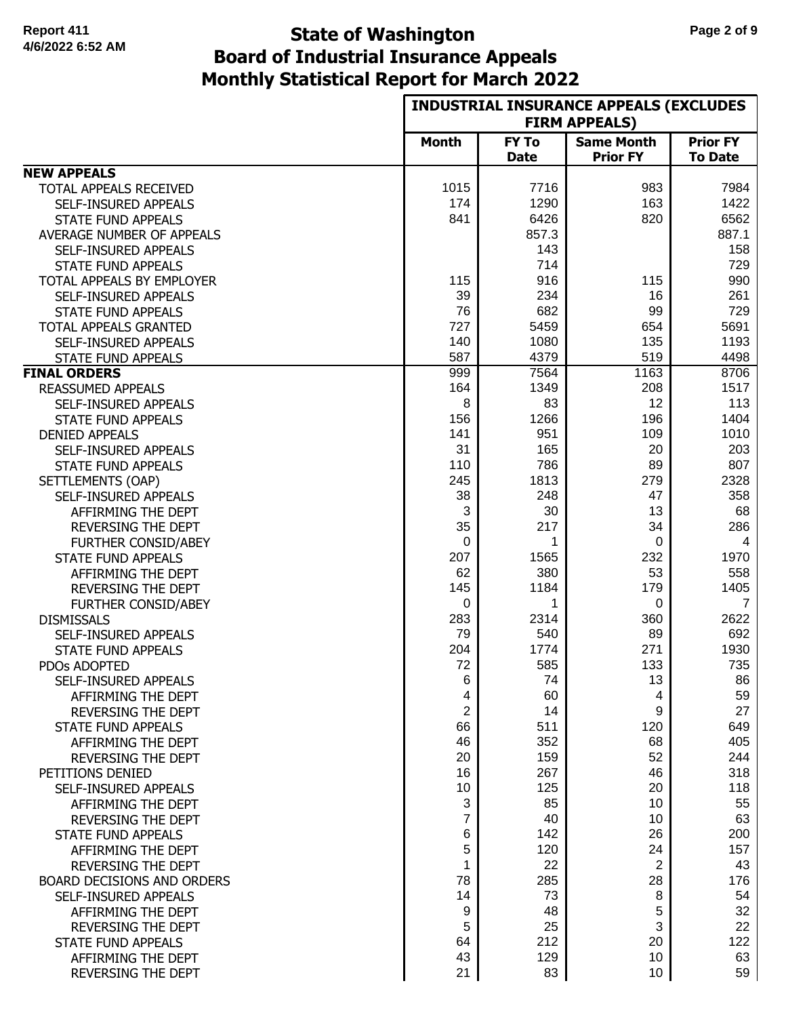#### **Monthly Statistical Report for March 2022 State of Washington Page 2 of 9 Board of Industrial Insurance Appeals**

|                            |              | <b>INDUSTRIAL INSURANCE APPEALS (EXCLUDES</b> |                                      |                                   |  |
|----------------------------|--------------|-----------------------------------------------|--------------------------------------|-----------------------------------|--|
|                            |              |                                               | <b>FIRM APPEALS)</b>                 |                                   |  |
|                            | <b>Month</b> | <b>FY To</b><br><b>Date</b>                   | <b>Same Month</b><br><b>Prior FY</b> | <b>Prior FY</b><br><b>To Date</b> |  |
| <b>NEW APPEALS</b>         |              |                                               |                                      |                                   |  |
| TOTAL APPEALS RECEIVED     | 1015         | 7716                                          | 983                                  | 7984                              |  |
| SELF-INSURED APPEALS       | 174          | 1290                                          | 163                                  | 1422                              |  |
| <b>STATE FUND APPEALS</b>  | 841          | 6426                                          | 820                                  | 6562                              |  |
| AVERAGE NUMBER OF APPEALS  |              | 857.3                                         |                                      | 887.1                             |  |
| SELF-INSURED APPEALS       |              | 143                                           |                                      | 158                               |  |
| <b>STATE FUND APPEALS</b>  |              | 714                                           |                                      | 729                               |  |
| TOTAL APPEALS BY EMPLOYER  | 115          | 916                                           | 115                                  | 990                               |  |
| SELF-INSURED APPEALS       | 39           | 234                                           | 16                                   | 261                               |  |
| <b>STATE FUND APPEALS</b>  | 76           | 682                                           | 99                                   | 729                               |  |
| TOTAL APPEALS GRANTED      | 727          | 5459                                          | 654                                  | 5691                              |  |
| SELF-INSURED APPEALS       | 140          | 1080                                          | 135                                  | 1193                              |  |
| <b>STATE FUND APPEALS</b>  | 587          | 4379                                          | 519                                  | 4498                              |  |
| <b>FINAL ORDERS</b>        | 999          | 7564                                          | 1163                                 | 8706                              |  |
| <b>REASSUMED APPEALS</b>   | 164          | 1349                                          | 208                                  | 1517                              |  |
| SELF-INSURED APPEALS       | 8            | 83                                            | 12                                   | 113                               |  |
| <b>STATE FUND APPEALS</b>  | 156          | 1266                                          | 196                                  | 1404                              |  |
| <b>DENIED APPEALS</b>      | 141          | 951                                           | 109                                  | 1010                              |  |
| SELF-INSURED APPEALS       | 31           | 165                                           | 20                                   | 203                               |  |
| <b>STATE FUND APPEALS</b>  | 110          | 786                                           | 89                                   | 807                               |  |
| SETTLEMENTS (OAP)          | 245          | 1813                                          | 279                                  | 2328                              |  |
| SELF-INSURED APPEALS       | 38           | 248                                           | 47                                   | 358                               |  |
| AFFIRMING THE DEPT         | 3            | 30                                            | 13                                   | 68                                |  |
| REVERSING THE DEPT         | 35           | 217                                           | 34                                   | 286                               |  |
| <b>FURTHER CONSID/ABEY</b> | $\mathbf 0$  | 1                                             | 0                                    | 4                                 |  |
| <b>STATE FUND APPEALS</b>  | 207          | 1565                                          | 232                                  | 1970                              |  |
| AFFIRMING THE DEPT         | 62           | 380                                           | 53                                   | 558                               |  |
| REVERSING THE DEPT         | 145          | 1184                                          | 179                                  | 1405                              |  |
| <b>FURTHER CONSID/ABEY</b> | 0            | 1                                             | 0                                    | $\overline{7}$                    |  |
| <b>DISMISSALS</b>          | 283          | 2314                                          | 360                                  | 2622                              |  |
| SELF-INSURED APPEALS       | 79           | 540                                           | 89                                   | 692                               |  |
| <b>STATE FUND APPEALS</b>  | 204          | 1774                                          | 271                                  | 1930                              |  |
| PDOs ADOPTED               | 72           | 585                                           | 133                                  | 735                               |  |
| SELF-INSURED APPEALS       | 6            | 74                                            | 13                                   | 86                                |  |
| AFFIRMING THE DEPT         | 4            | 60                                            | 4                                    | 59                                |  |
| REVERSING THE DEPT         | 2            | 14                                            | 9                                    | 27                                |  |
| <b>STATE FUND APPEALS</b>  | 66           | 511                                           | 120                                  | 649                               |  |
| AFFIRMING THE DEPT         | 46           | 352                                           | 68                                   | 405                               |  |
| <b>REVERSING THE DEPT</b>  | 20           | 159                                           | 52                                   | 244                               |  |
| PETITIONS DENIED           | 16           | 267                                           | 46                                   | 318                               |  |
| SELF-INSURED APPEALS       | 10           | 125                                           | 20                                   | 118                               |  |
| AFFIRMING THE DEPT         | 3            | 85                                            | 10                                   | 55                                |  |
| <b>REVERSING THE DEPT</b>  | 7            | 40                                            | 10                                   | 63                                |  |
| <b>STATE FUND APPEALS</b>  | 6            | 142                                           | 26                                   | 200                               |  |
| AFFIRMING THE DEPT         | 5            | 120                                           | 24                                   | 157                               |  |
| <b>REVERSING THE DEPT</b>  | 1            | 22                                            | 2                                    | 43                                |  |
| BOARD DECISIONS AND ORDERS | 78           | 285                                           | 28                                   | 176                               |  |
| SELF-INSURED APPEALS       | 14           | 73                                            | 8                                    | 54                                |  |
| AFFIRMING THE DEPT         | 9            | 48                                            | 5                                    | 32                                |  |
| <b>REVERSING THE DEPT</b>  | 5            | 25                                            | 3                                    | 22                                |  |
| <b>STATE FUND APPEALS</b>  | 64           | 212                                           | 20                                   | 122                               |  |
| AFFIRMING THE DEPT         | 43           | 129                                           | 10                                   | 63                                |  |
| REVERSING THE DEPT         | 21           | 83                                            | 10                                   | 59                                |  |
|                            |              |                                               |                                      |                                   |  |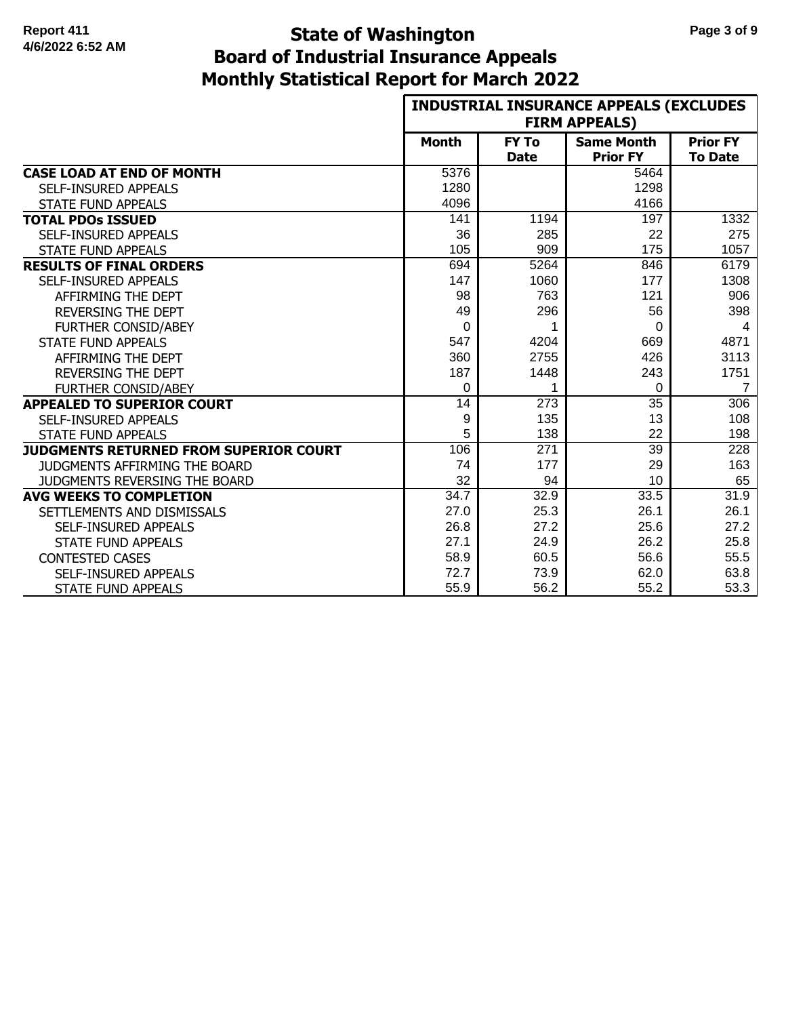# **Monthly Statistical Report for March 2022 State of Washington Page 3 of 9 Board of Industrial Insurance Appeals**

|                                               |              |                  | <b>INDUSTRIAL INSURANCE APPEALS (EXCLUDES</b><br><b>FIRM APPEALS)</b> |                 |
|-----------------------------------------------|--------------|------------------|-----------------------------------------------------------------------|-----------------|
|                                               | <b>Month</b> | <b>FY To</b>     | <b>Same Month</b>                                                     | <b>Prior FY</b> |
|                                               |              | <b>Date</b>      | <b>Prior FY</b>                                                       | <b>To Date</b>  |
| <b>CASE LOAD AT END OF MONTH</b>              | 5376         |                  | 5464                                                                  |                 |
| SELF-INSURED APPEALS                          | 1280         |                  | 1298                                                                  |                 |
| <b>STATE FUND APPEALS</b>                     | 4096         |                  | 4166                                                                  |                 |
| <b>TOTAL PDOS ISSUED</b>                      | 141          | 1194             | 197                                                                   | 1332            |
| <b>SELF-INSURED APPEALS</b>                   | 36           | 285              | 22                                                                    | 275             |
| <b>STATE FUND APPEALS</b>                     | 105          | 909              | 175                                                                   | 1057            |
| <b>RESULTS OF FINAL ORDERS</b>                | 694          | 5264             | 846                                                                   | 6179            |
| SELF-INSURED APPEALS                          | 147          | 1060             | 177                                                                   | 1308            |
| AFFIRMING THE DEPT                            | 98           | 763              | 121                                                                   | 906             |
| <b>REVERSING THE DEPT</b>                     | 49           | 296              | 56                                                                    | 398             |
| <b>FURTHER CONSID/ABEY</b>                    | $\Omega$     |                  | $\Omega$                                                              | 4               |
| <b>STATE FUND APPEALS</b>                     | 547          | 4204             | 669                                                                   | 4871            |
| AFFIRMING THE DEPT                            | 360          | 2755             | 426                                                                   | 3113            |
| <b>REVERSING THE DEPT</b>                     | 187          | 1448             | 243                                                                   | 1751            |
| <b>FURTHER CONSID/ABEY</b>                    | $\Omega$     | 1                | $\Omega$                                                              | $\overline{7}$  |
| <b>APPEALED TO SUPERIOR COURT</b>             | 14           | $\overline{273}$ | 35                                                                    | 306             |
| <b>SELF-INSURED APPEALS</b>                   | 9            | 135              | 13                                                                    | 108             |
| <b>STATE FUND APPEALS</b>                     | 5            | 138              | 22                                                                    | 198             |
| <b>JUDGMENTS RETURNED FROM SUPERIOR COURT</b> | 106          | $\overline{271}$ | $\overline{39}$                                                       | 228             |
| <b>JUDGMENTS AFFIRMING THE BOARD</b>          | 74           | 177              | 29                                                                    | 163             |
| JUDGMENTS REVERSING THE BOARD                 | 32           | 94               | 10                                                                    | 65              |
| <b>AVG WEEKS TO COMPLETION</b>                | 34.7         | 32.9             | 33.5                                                                  | 31.9            |
| SETTLEMENTS AND DISMISSALS                    | 27.0         | 25.3             | 26.1                                                                  | 26.1            |
| SELF-INSURED APPEALS                          | 26.8         | 27.2             | 25.6                                                                  | 27.2            |
| <b>STATE FUND APPEALS</b>                     | 27.1         | 24.9             | 26.2                                                                  | 25.8            |
| <b>CONTESTED CASES</b>                        | 58.9         | 60.5             | 56.6                                                                  | 55.5            |
| SELF-INSURED APPEALS                          | 72.7         | 73.9             | 62.0                                                                  | 63.8            |
| <b>STATE FUND APPEALS</b>                     | 55.9         | 56.2             | 55.2                                                                  | 53.3            |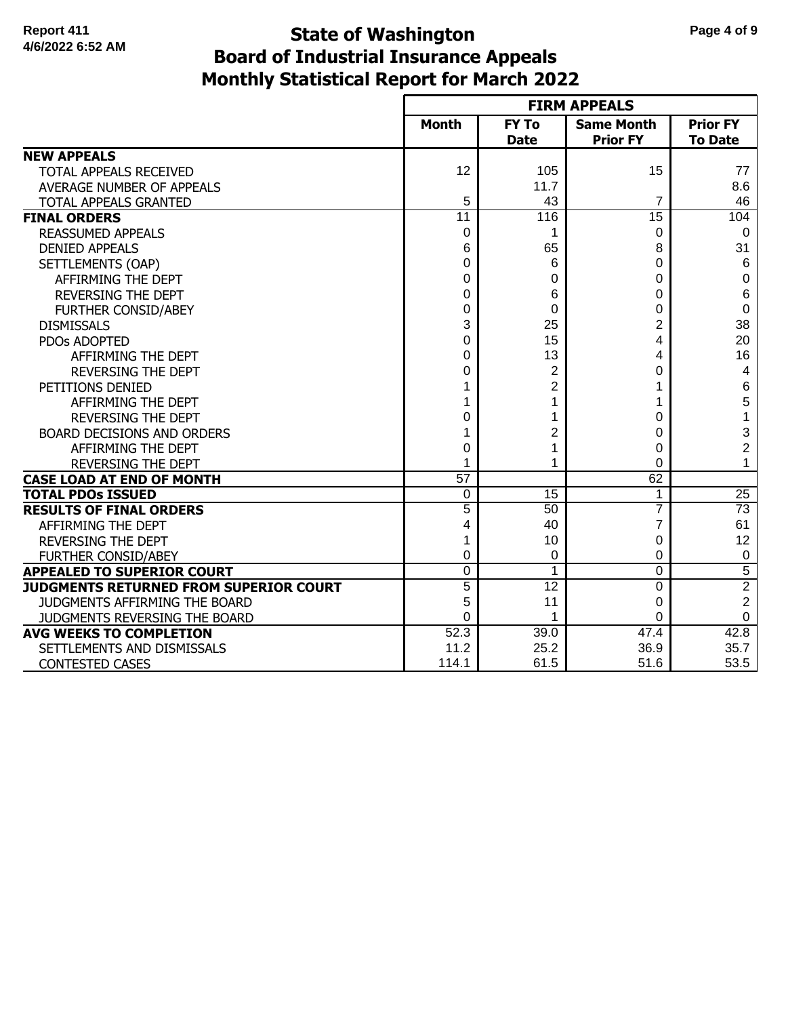# **Monthly Statistical Report for March 2022 State of Washington Page 4 of 9 Board of Industrial Insurance Appeals**

|                                        |                 |                             | <b>FIRM APPEALS</b>                  |                                   |
|----------------------------------------|-----------------|-----------------------------|--------------------------------------|-----------------------------------|
|                                        | <b>Month</b>    | <b>FY To</b><br><b>Date</b> | <b>Same Month</b><br><b>Prior FY</b> | <b>Prior FY</b><br><b>To Date</b> |
| <b>NEW APPEALS</b>                     |                 |                             |                                      |                                   |
| TOTAL APPEALS RECEIVED                 | 12              | 105                         | 15                                   | 77                                |
| AVERAGE NUMBER OF APPEALS              |                 | 11.7                        |                                      | 8.6                               |
| TOTAL APPEALS GRANTED                  | 5               | 43                          | 7                                    | 46                                |
| <b>FINAL ORDERS</b>                    | $\overline{11}$ | 116                         | $\overline{15}$                      | 104                               |
| <b>REASSUMED APPEALS</b>               | 0               | 1                           | 0                                    | 0                                 |
| <b>DENIED APPEALS</b>                  | 6               | 65                          | 8                                    | 31                                |
| SETTLEMENTS (OAP)                      | 0               | 6                           | 0                                    | $\,6\,$                           |
| AFFIRMING THE DEPT                     | 0               | 0                           | 0                                    | 0                                 |
| <b>REVERSING THE DEPT</b>              | 0               | 6                           | 0                                    | 6                                 |
| <b>FURTHER CONSID/ABEY</b>             | 0               | 0                           | 0                                    | $\mathbf 0$                       |
| <b>DISMISSALS</b>                      | 3               | 25                          | 2                                    | 38                                |
| PDOs ADOPTED                           | 0               | 15                          | 4                                    | 20                                |
| AFFIRMING THE DEPT                     | 0               | 13                          | 4                                    | 16                                |
| <b>REVERSING THE DEPT</b>              | 0               | 2                           | 0                                    | 4                                 |
| PETITIONS DENIED                       |                 | $\overline{2}$              |                                      | 6                                 |
| AFFIRMING THE DEPT                     |                 | 1                           |                                      | 5                                 |
| <b>REVERSING THE DEPT</b>              | $\Omega$        | 1                           | 0                                    | $\mathbf 1$                       |
| <b>BOARD DECISIONS AND ORDERS</b>      |                 | $\overline{2}$              | 0                                    | 3                                 |
| AFFIRMING THE DEPT                     | 0               | 1                           | 0                                    | $\overline{\mathbf{c}}$           |
| REVERSING THE DEPT                     | 1               | 1                           | $\Omega$                             | 1                                 |
| <b>CASE LOAD AT END OF MONTH</b>       | $\overline{57}$ |                             | 62                                   |                                   |
| <b>TOTAL PDOS ISSUED</b>               | 0               | $\overline{15}$             | 1                                    | $\overline{25}$                   |
| <b>RESULTS OF FINAL ORDERS</b>         | $\overline{5}$  | 50                          | $\overline{7}$                       | $\overline{73}$                   |
| AFFIRMING THE DEPT                     | 4               | 40                          | 7                                    | 61                                |
| <b>REVERSING THE DEPT</b>              | 1               | 10                          | 0                                    | 12                                |
| <b>FURTHER CONSID/ABEY</b>             | 0               | 0                           | 0                                    | $\mathbf 0$                       |
| <b>APPEALED TO SUPERIOR COURT</b>      | 0               | 1                           | $\mathbf 0$                          | $\overline{5}$                    |
| JUDGMENTS RETURNED FROM SUPERIOR COURT | $\overline{5}$  | $\overline{12}$             | $\Omega$                             | $\overline{2}$                    |
| JUDGMENTS AFFIRMING THE BOARD          | 5               | 11                          | 0                                    | $\overline{2}$                    |
| JUDGMENTS REVERSING THE BOARD          | 0               | 1                           | $\Omega$                             | 0                                 |
| <b>AVG WEEKS TO COMPLETION</b>         | 52.3            | 39.0                        | 47.4                                 | 42.8                              |
| SETTLEMENTS AND DISMISSALS             | 11.2            | 25.2                        | 36.9                                 | 35.7                              |
| <b>CONTESTED CASES</b>                 | 114.1           | 61.5                        | 51.6                                 | 53.5                              |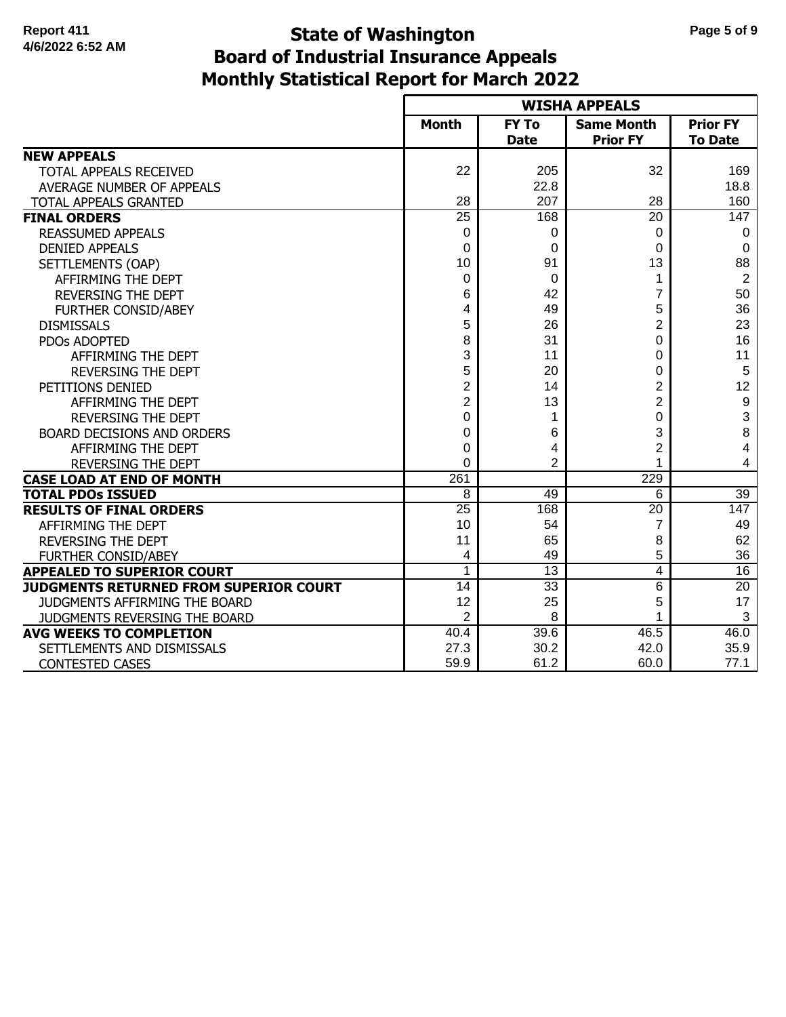# **Monthly Statistical Report for March 2022 State of Washington Page 5 of 9 Board of Industrial Insurance Appeals**

|                                        |                  |                             | <b>WISHA APPEALS</b>                 |                                   |
|----------------------------------------|------------------|-----------------------------|--------------------------------------|-----------------------------------|
|                                        | <b>Month</b>     | <b>FY To</b><br><b>Date</b> | <b>Same Month</b><br><b>Prior FY</b> | <b>Prior FY</b><br><b>To Date</b> |
| <b>NEW APPEALS</b>                     |                  |                             |                                      |                                   |
| TOTAL APPEALS RECEIVED                 | 22               | 205                         | 32                                   | 169                               |
| AVERAGE NUMBER OF APPEALS              |                  | 22.8                        |                                      | 18.8                              |
| TOTAL APPEALS GRANTED                  | 28               | 207                         | 28                                   | 160                               |
| <b>FINAL ORDERS</b>                    | $\overline{25}$  | 168                         | $\overline{20}$                      | 147                               |
| <b>REASSUMED APPEALS</b>               | 0                | 0                           | 0                                    | 0                                 |
| <b>DENIED APPEALS</b>                  | 0                | 0                           | $\Omega$                             | 0                                 |
| SETTLEMENTS (OAP)                      | 10               | 91                          | 13                                   | 88                                |
| AFFIRMING THE DEPT                     | $\Omega$         | 0                           | 1                                    | $\overline{2}$                    |
| <b>REVERSING THE DEPT</b>              | 6                | 42                          | 7                                    | 50                                |
| FURTHER CONSID/ABEY                    | 4                | 49                          | 5                                    | 36                                |
| <b>DISMISSALS</b>                      | 5                | 26                          | 2                                    | 23                                |
| PDOs ADOPTED                           | 8                | 31                          | 0                                    | 16                                |
| AFFIRMING THE DEPT                     | 3                | 11                          | 0                                    | 11                                |
| <b>REVERSING THE DEPT</b>              | 5                | 20                          | 0                                    | 5                                 |
| PETITIONS DENIED                       | 2                | 14                          | 2                                    | 12                                |
| AFFIRMING THE DEPT                     | 2                | 13                          | 2                                    | $\boldsymbol{9}$                  |
| <b>REVERSING THE DEPT</b>              | $\Omega$         | 1                           | $\Omega$                             | 3                                 |
| BOARD DECISIONS AND ORDERS             | 0                | 6                           | 3                                    | 8                                 |
| AFFIRMING THE DEPT                     | $\Omega$         | 4                           | 2                                    | 4                                 |
| <b>REVERSING THE DEPT</b>              | $\Omega$         | $\overline{2}$              |                                      | 4                                 |
| <b>CASE LOAD AT END OF MONTH</b>       | $\overline{261}$ |                             | 229                                  |                                   |
| <b>TOTAL PDOs ISSUED</b>               | 8                | 49                          | 6                                    | 39                                |
| <b>RESULTS OF FINAL ORDERS</b>         | 25               | 168                         | 20                                   | 147                               |
| AFFIRMING THE DEPT                     | 10               | 54                          | 7                                    | 49                                |
| <b>REVERSING THE DEPT</b>              | 11               | 65                          | 8                                    | 62                                |
| <b>FURTHER CONSID/ABEY</b>             | 4                | 49                          | 5                                    | 36                                |
| <b>APPEALED TO SUPERIOR COURT</b>      | 1                | $\overline{13}$             | 4                                    | 16                                |
| JUDGMENTS RETURNED FROM SUPERIOR COURT | 14               | $\overline{33}$             | 6                                    | 20                                |
| JUDGMENTS AFFIRMING THE BOARD          | 12               | 25                          | 5                                    | 17                                |
| JUDGMENTS REVERSING THE BOARD          | $\overline{2}$   | 8                           |                                      | 3                                 |
| <b>AVG WEEKS TO COMPLETION</b>         | 40.4             | 39.6                        | 46.5                                 | 46.0                              |
| SETTLEMENTS AND DISMISSALS             | 27.3             | 30.2                        | 42.0                                 | 35.9                              |
| <b>CONTESTED CASES</b>                 | 59.9             | 61.2                        | 60.0                                 | 77.1                              |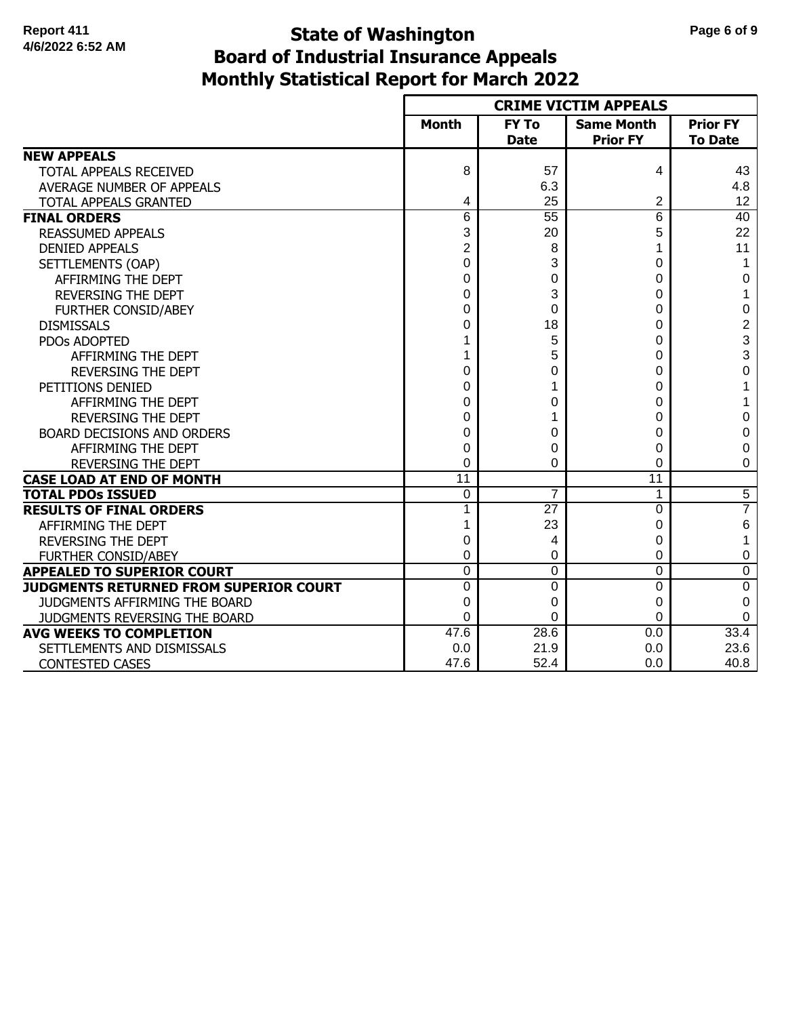# **Monthly Statistical Report for March 2022 State of Washington Page 6 of 9 Board of Industrial Insurance Appeals**

|                                        |                 |                             | <b>CRIME VICTIM APPEALS</b>          |                                   |
|----------------------------------------|-----------------|-----------------------------|--------------------------------------|-----------------------------------|
|                                        | <b>Month</b>    | <b>FY To</b><br><b>Date</b> | <b>Same Month</b><br><b>Prior FY</b> | <b>Prior FY</b><br><b>To Date</b> |
| <b>NEW APPEALS</b>                     |                 |                             |                                      |                                   |
| TOTAL APPEALS RECEIVED                 | 8               | 57                          | 4                                    | 43                                |
| AVERAGE NUMBER OF APPEALS              |                 | 6.3                         |                                      | 4.8                               |
| TOTAL APPEALS GRANTED                  | 4               | 25                          | 2                                    | 12                                |
| <b>FINAL ORDERS</b>                    | 6               | $\overline{55}$             | $6\overline{6}$                      | 40                                |
| <b>REASSUMED APPEALS</b>               | 3               | 20                          | 5                                    | 22                                |
| <b>DENIED APPEALS</b>                  | 2               | 8                           |                                      | 11                                |
| SETTLEMENTS (OAP)                      | $\Omega$        | 3                           | 0                                    | 1                                 |
| AFFIRMING THE DEPT                     | 0               | 0                           | 0                                    | 0                                 |
| <b>REVERSING THE DEPT</b>              | 0               | 3                           | 0                                    | 1                                 |
| FURTHER CONSID/ABEY                    | 0               | 0                           | 0                                    | 0                                 |
| <b>DISMISSALS</b>                      | 0               | 18                          | 0                                    | 2                                 |
| <b>PDOs ADOPTED</b>                    |                 | 5                           | 0                                    | 3                                 |
| AFFIRMING THE DEPT                     |                 | 5                           | 0                                    | 3                                 |
| <b>REVERSING THE DEPT</b>              | 0               | 0                           | 0                                    | 0                                 |
| PETITIONS DENIED                       | 0               | 1                           | 0                                    | 1                                 |
| AFFIRMING THE DEPT                     | 0               | 0                           | 0                                    | 1                                 |
| <b>REVERSING THE DEPT</b>              | 0               | 1                           | 0                                    | 0                                 |
| <b>BOARD DECISIONS AND ORDERS</b>      | 0               | 0                           | 0                                    | 0                                 |
| AFFIRMING THE DEPT                     | 0               | 0                           | 0                                    | 0                                 |
| <b>REVERSING THE DEPT</b>              | 0               | 0                           | 0                                    | 0                                 |
| <b>CASE LOAD AT END OF MONTH</b>       | $\overline{11}$ |                             | 11                                   |                                   |
| <b>TOTAL PDOS ISSUED</b>               | 0               | 7                           | 1                                    | $\overline{5}$                    |
| <b>RESULTS OF FINAL ORDERS</b>         |                 | 27                          | $\Omega$                             | 7                                 |
| AFFIRMING THE DEPT                     |                 | 23                          | 0                                    | 6                                 |
| <b>REVERSING THE DEPT</b>              | 0               | 4                           | 0                                    | 1                                 |
| <b>FURTHER CONSID/ABEY</b>             | 0               | 0                           | 0                                    | 0                                 |
| <b>APPEALED TO SUPERIOR COURT</b>      | $\Omega$        | 0                           | $\Omega$                             | 0                                 |
| JUDGMENTS RETURNED FROM SUPERIOR COURT | $\Omega$        | 0                           | $\Omega$                             | $\overline{0}$                    |
| JUDGMENTS AFFIRMING THE BOARD          | 0               | 0                           | $\Omega$                             | 0                                 |
| JUDGMENTS REVERSING THE BOARD          | $\Omega$        | 0                           | 0                                    | 0                                 |
| <b>AVG WEEKS TO COMPLETION</b>         | 47.6            | 28.6                        | 0.0                                  | 33.4                              |
| SETTLEMENTS AND DISMISSALS             | 0.0             | 21.9                        | 0.0                                  | 23.6                              |
| <b>CONTESTED CASES</b>                 | 47.6            | 52.4                        | 0.0                                  | 40.8                              |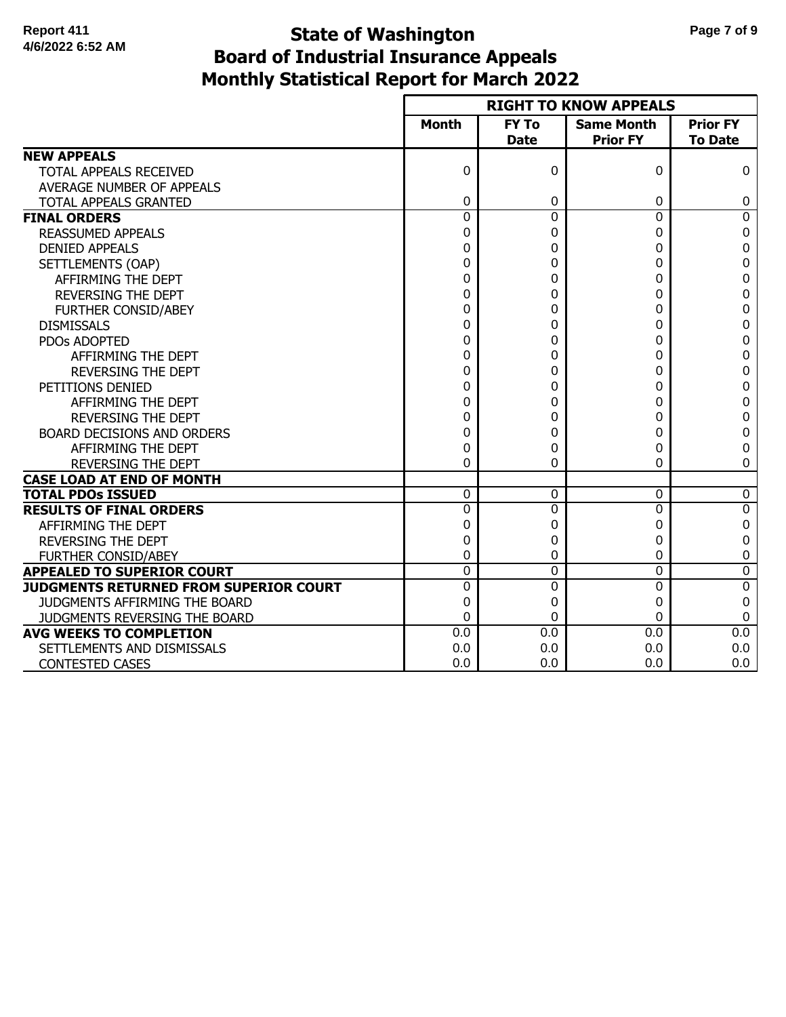# **Monthly Statistical Report for March 2022 State of Washington Page 7 of 9 Board of Industrial Insurance Appeals**

|                                        |                |                             | <b>RIGHT TO KNOW APPEALS</b>         |                                   |
|----------------------------------------|----------------|-----------------------------|--------------------------------------|-----------------------------------|
|                                        | <b>Month</b>   | <b>FY To</b><br><b>Date</b> | <b>Same Month</b><br><b>Prior FY</b> | <b>Prior FY</b><br><b>To Date</b> |
| <b>NEW APPEALS</b>                     |                |                             |                                      |                                   |
| TOTAL APPEALS RECEIVED                 | $\Omega$       | 0                           | 0                                    | 0                                 |
| AVERAGE NUMBER OF APPEALS              |                |                             |                                      |                                   |
| TOTAL APPEALS GRANTED                  | 0              | 0                           | 0                                    | 0                                 |
| <b>FINAL ORDERS</b>                    | $\overline{0}$ | $\overline{0}$              | $\mathbf 0$                          | $\overline{0}$                    |
| <b>REASSUMED APPEALS</b>               | 0              | 0                           | 0                                    | 0                                 |
| <b>DENIED APPEALS</b>                  | 0              | 0                           | 0                                    | 0                                 |
| SETTLEMENTS (OAP)                      | 0              | 0                           | 0                                    | 0                                 |
| AFFIRMING THE DEPT                     | 0              | 0                           | 0                                    | 0                                 |
| <b>REVERSING THE DEPT</b>              | 0              | 0                           | 0                                    | 0                                 |
| FURTHER CONSID/ABEY                    | 0              | 0                           | 0                                    | 0                                 |
| <b>DISMISSALS</b>                      | 0              | 0                           | 0                                    | 0                                 |
| PDOs ADOPTED                           | 0              | 0                           | 0                                    | 0                                 |
| AFFIRMING THE DEPT                     | 0              | 0                           | 0                                    | 0                                 |
| <b>REVERSING THE DEPT</b>              | 0              | 0                           | 0                                    | 0                                 |
| PETITIONS DENIED                       | 0              | 0                           | 0                                    | 0                                 |
| AFFIRMING THE DEPT                     | 0              | 0                           | 0                                    | 0                                 |
| <b>REVERSING THE DEPT</b>              | 0              | 0                           | 0                                    | 0                                 |
| BOARD DECISIONS AND ORDERS             | 0              | 0                           | 0                                    | 0                                 |
| AFFIRMING THE DEPT                     | 0              | 0                           | 0                                    | 0                                 |
| REVERSING THE DEPT                     | 0              | 0                           | 0                                    | 0                                 |
| <b>CASE LOAD AT END OF MONTH</b>       |                |                             |                                      |                                   |
| <b>TOTAL PDOs ISSUED</b>               | $\Omega$       | 0                           | $\Omega$                             | 0                                 |
| <b>RESULTS OF FINAL ORDERS</b>         | $\Omega$       | 0                           | $\Omega$                             | $\overline{0}$                    |
| AFFIRMING THE DEPT                     | 0              | 0                           | 0                                    | 0                                 |
| REVERSING THE DEPT                     | 0              | 0                           | 0                                    | 0                                 |
| <b>FURTHER CONSID/ABEY</b>             | 0              | 0                           | 0                                    | 0                                 |
| <b>APPEALED TO SUPERIOR COURT</b>      | $\Omega$       | 0                           | $\Omega$                             | 0                                 |
| JUDGMENTS RETURNED FROM SUPERIOR COURT | $\Omega$       | 0                           | $\Omega$                             | 0                                 |
| JUDGMENTS AFFIRMING THE BOARD          | 0              | 0                           | 0                                    | 0                                 |
| JUDGMENTS REVERSING THE BOARD          | 0              | 0                           | 0                                    | 0                                 |
| <b>AVG WEEKS TO COMPLETION</b>         | 0.0            | $\overline{0.0}$            | 0.0                                  | 0.0                               |
| SETTLEMENTS AND DISMISSALS             | 0.0            | 0.0                         | 0.0                                  | 0.0                               |
| <b>CONTESTED CASES</b>                 | 0.0            | 0.0                         | 0.0                                  | 0.0                               |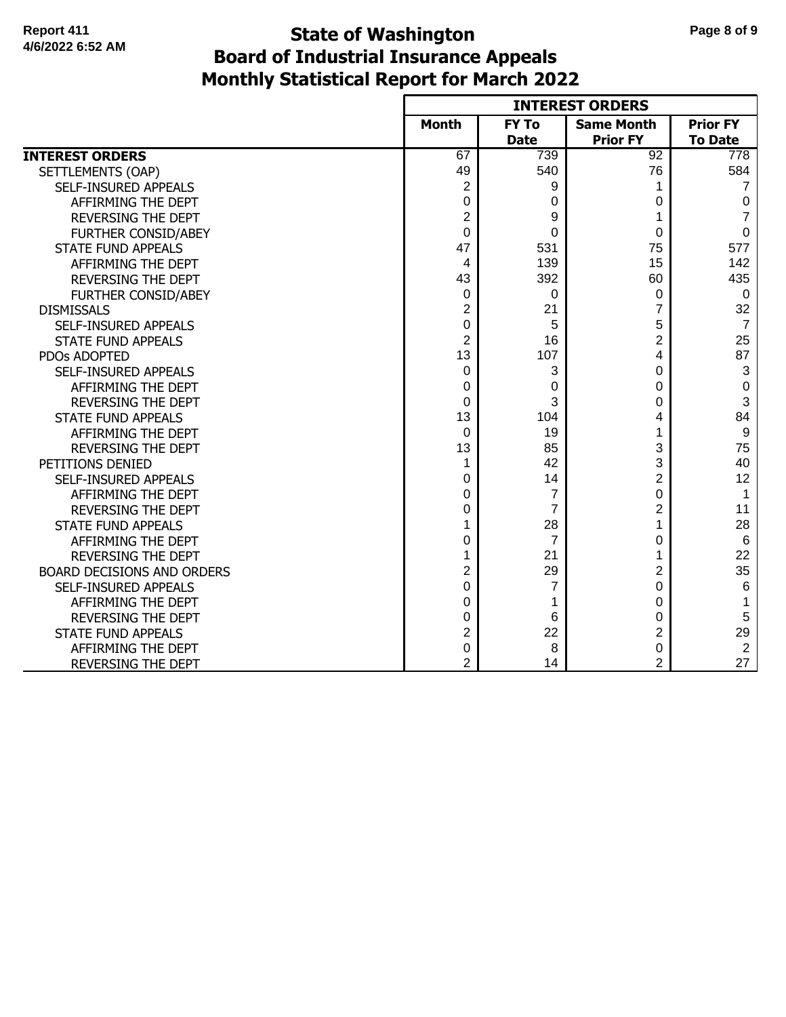#### **Monthly Statistical Report for March 2022 State of Washington Page 8 of 9 Board of Industrial Insurance Appeals**

|                             |                |                | <b>INTEREST ORDERS</b> |                  |
|-----------------------------|----------------|----------------|------------------------|------------------|
|                             | <b>Month</b>   | <b>FY To</b>   | <b>Same Month</b>      | <b>Prior FY</b>  |
|                             |                | <b>Date</b>    | <b>Prior FY</b>        | <b>To Date</b>   |
| <b>INTEREST ORDERS</b>      | 67             | 739            | 92                     | 778              |
| SETTLEMENTS (OAP)           | 49             | 540            | 76                     | 584              |
| SELF-INSURED APPEALS        | $\overline{2}$ | 9              | 1                      | $\overline{7}$   |
| AFFIRMING THE DEPT          | 0              | 0              | 0                      | 0                |
| <b>REVERSING THE DEPT</b>   | $\overline{2}$ | 9              | 1                      | 7                |
| FURTHER CONSID/ABEY         | 0              | 0              | 0                      | $\mathbf 0$      |
| <b>STATE FUND APPEALS</b>   | 47             | 531            | 75                     | 577              |
| AFFIRMING THE DEPT          | 4              | 139            | 15                     | 142              |
| REVERSING THE DEPT          | 43             | 392            | 60                     | 435              |
| FURTHER CONSID/ABEY         | 0              | 0              | 0                      | $\mathbf 0$      |
| <b>DISMISSALS</b>           | $\overline{2}$ | 21             | 7                      | 32               |
| SELF-INSURED APPEALS        | 0              | 5              | 5                      | $\overline{7}$   |
| <b>STATE FUND APPEALS</b>   | $\overline{2}$ | 16             | 2                      | 25               |
| PDOs ADOPTED                | 13             | 107            | 4                      | 87               |
| SELF-INSURED APPEALS        | 0              | 3              | 0                      | 3                |
| AFFIRMING THE DEPT          | 0              | 0              | 0                      | $\boldsymbol{0}$ |
| <b>REVERSING THE DEPT</b>   | 0              | 3              | 0                      | 3                |
| <b>STATE FUND APPEALS</b>   | 13             | 104            | 4                      | 84               |
| AFFIRMING THE DEPT          | 0              | 19             |                        | 9                |
| REVERSING THE DEPT          | 13             | 85             | 3                      | 75               |
| PETITIONS DENIED            | 1              | 42             | 3                      | 40               |
| <b>SELF-INSURED APPEALS</b> | 0              | 14             | 2                      | 12               |
| AFFIRMING THE DEPT          | 0              | $\overline{7}$ | 0                      | $\mathbf{1}$     |
| <b>REVERSING THE DEPT</b>   | 0              | $\overline{7}$ | 2                      | 11               |
| <b>STATE FUND APPEALS</b>   | 1              | 28             | 1                      | 28               |
| AFFIRMING THE DEPT          | 0              | $\overline{7}$ | 0                      | $6\phantom{1}6$  |
| <b>REVERSING THE DEPT</b>   | 1              | 21             |                        | 22               |
| BOARD DECISIONS AND ORDERS  | $\overline{2}$ | 29             | 2                      | 35               |
| SELF-INSURED APPEALS        | 0              | 7              | 0                      | 6                |
| AFFIRMING THE DEPT          | 0              | 1              | 0                      | $\mathbf 1$      |
| <b>REVERSING THE DEPT</b>   | 0              | 6              | 0                      | 5                |
| <b>STATE FUND APPEALS</b>   | $\overline{2}$ | 22             | 2                      | 29               |
| AFFIRMING THE DEPT          | 0              | 8              | 0                      | 2                |
| REVERSING THE DEPT          | $\overline{2}$ | 14             | 2                      | 27               |